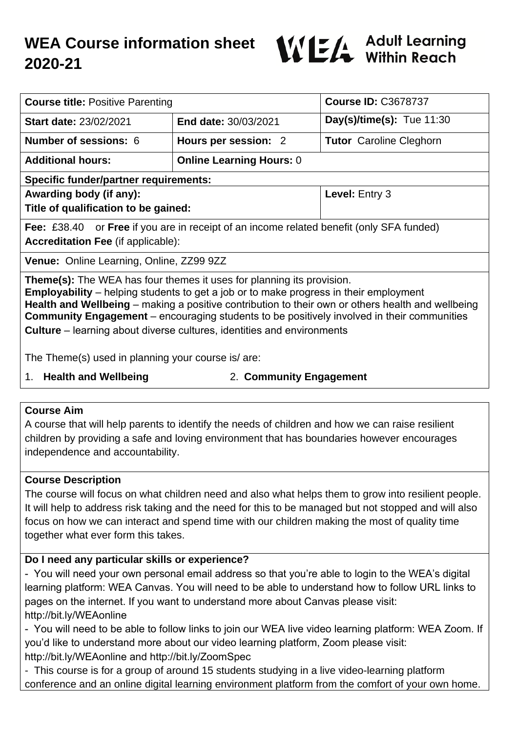# **WEA Course information sheet 2020-21**



| <b>Course title: Positive Parenting</b>                                                                                                                                                                                                                                                                                                                                                                                                                                 |                                 | <b>Course ID: C3678737</b>     |
|-------------------------------------------------------------------------------------------------------------------------------------------------------------------------------------------------------------------------------------------------------------------------------------------------------------------------------------------------------------------------------------------------------------------------------------------------------------------------|---------------------------------|--------------------------------|
| <b>Start date: 23/02/2021</b>                                                                                                                                                                                                                                                                                                                                                                                                                                           | <b>End date: 30/03/2021</b>     | Day(s)/time(s): Tue $11:30$    |
| <b>Number of sessions: 6</b>                                                                                                                                                                                                                                                                                                                                                                                                                                            | Hours per session: 2            | <b>Tutor</b> Caroline Cleghorn |
| <b>Additional hours:</b>                                                                                                                                                                                                                                                                                                                                                                                                                                                | <b>Online Learning Hours: 0</b> |                                |
| <b>Specific funder/partner requirements:</b>                                                                                                                                                                                                                                                                                                                                                                                                                            |                                 |                                |
| Awarding body (if any):                                                                                                                                                                                                                                                                                                                                                                                                                                                 |                                 | Level: Entry 3                 |
| Title of qualification to be gained:                                                                                                                                                                                                                                                                                                                                                                                                                                    |                                 |                                |
| <b>Fee:</b> £38.40 or <b>Free</b> if you are in receipt of an income related benefit (only SFA funded)<br><b>Accreditation Fee (if applicable):</b>                                                                                                                                                                                                                                                                                                                     |                                 |                                |
|                                                                                                                                                                                                                                                                                                                                                                                                                                                                         |                                 |                                |
| <b>Venue: Online Learning, Online, ZZ99 9ZZ</b>                                                                                                                                                                                                                                                                                                                                                                                                                         |                                 |                                |
| <b>Theme(s):</b> The WEA has four themes it uses for planning its provision.<br><b>Employability</b> – helping students to get a job or to make progress in their employment<br>Health and Wellbeing – making a positive contribution to their own or others health and wellbeing<br><b>Community Engagement</b> – encouraging students to be positively involved in their communities<br><b>Culture</b> – learning about diverse cultures, identities and environments |                                 |                                |
| The Theme(s) used in planning your course is/are:                                                                                                                                                                                                                                                                                                                                                                                                                       |                                 |                                |

1. **Health and Wellbeing** 2. **Community Engagement**

### **Course Aim**

A course that will help parents to identify the needs of children and how we can raise resilient children by providing a safe and loving environment that has boundaries however encourages independence and accountability.

### **Course Description**

The course will focus on what children need and also what helps them to grow into resilient people. It will help to address risk taking and the need for this to be managed but not stopped and will also focus on how we can interact and spend time with our children making the most of quality time together what ever form this takes.

### **Do I need any particular skills or experience?**

- You will need your own personal email address so that you're able to login to the WEA's digital learning platform: WEA Canvas. You will need to be able to understand how to follow URL links to pages on the internet. If you want to understand more about Canvas please visit: http://bit.ly/WEAonline

- You will need to be able to follow links to join our WEA live video learning platform: WEA Zoom. If you'd like to understand more about our video learning platform, Zoom please visit: http://bit.ly/WEAonline and http://bit.ly/ZoomSpec

- This course is for a group of around 15 students studying in a live video-learning platform conference and an online digital learning environment platform from the comfort of your own home.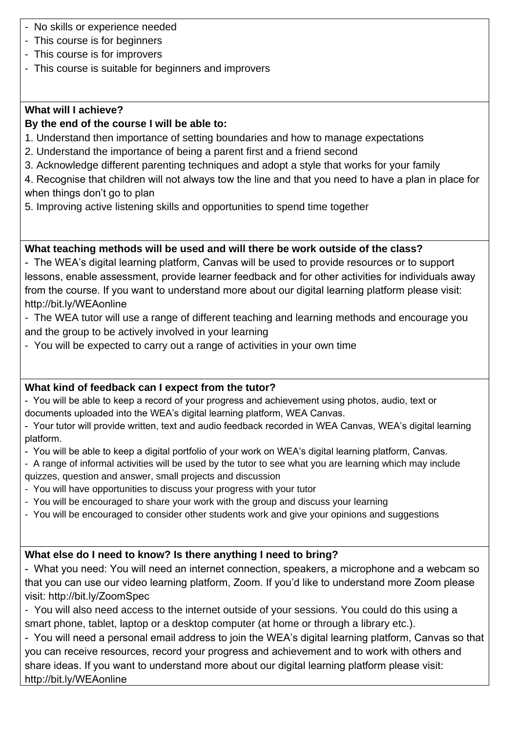- No skills or experience needed
- This course is for beginners
- This course is for improvers
- This course is suitable for beginners and improvers

### **What will I achieve?**

### **By the end of the course I will be able to:**

- 1. Understand then importance of setting boundaries and how to manage expectations
- 2. Understand the importance of being a parent first and a friend second
- 3. Acknowledge different parenting techniques and adopt a style that works for your family
- 4. Recognise that children will not always tow the line and that you need to have a plan in place for when things don't go to plan
- 5. Improving active listening skills and opportunities to spend time together

### **What teaching methods will be used and will there be work outside of the class?**

- The WEA's digital learning platform, Canvas will be used to provide resources or to support lessons, enable assessment, provide learner feedback and for other activities for individuals away from the course. If you want to understand more about our digital learning platform please visit: http://bit.ly/WEAonline

- The WEA tutor will use a range of different teaching and learning methods and encourage you and the group to be actively involved in your learning
- You will be expected to carry out a range of activities in your own time

# **What kind of feedback can I expect from the tutor?**

- You will be able to keep a record of your progress and achievement using photos, audio, text or documents uploaded into the WEA's digital learning platform, WEA Canvas.

- Your tutor will provide written, text and audio feedback recorded in WEA Canvas, WEA's digital learning platform.

- You will be able to keep a digital portfolio of your work on WEA's digital learning platform, Canvas.
- A range of informal activities will be used by the tutor to see what you are learning which may include quizzes, question and answer, small projects and discussion
- You will have opportunities to discuss your progress with your tutor
- You will be encouraged to share your work with the group and discuss your learning
- You will be encouraged to consider other students work and give your opinions and suggestions

# **What else do I need to know? Is there anything I need to bring?**

- What you need: You will need an internet connection, speakers, a microphone and a webcam so that you can use our video learning platform, Zoom. If you'd like to understand more Zoom please visit: http://bit.ly/ZoomSpec

- You will also need access to the internet outside of your sessions. You could do this using a smart phone, tablet, laptop or a desktop computer (at home or through a library etc.).

- You will need a personal email address to join the WEA's digital learning platform, Canvas so that you can receive resources, record your progress and achievement and to work with others and share ideas. If you want to understand more about our digital learning platform please visit: http://bit.ly/WEAonline